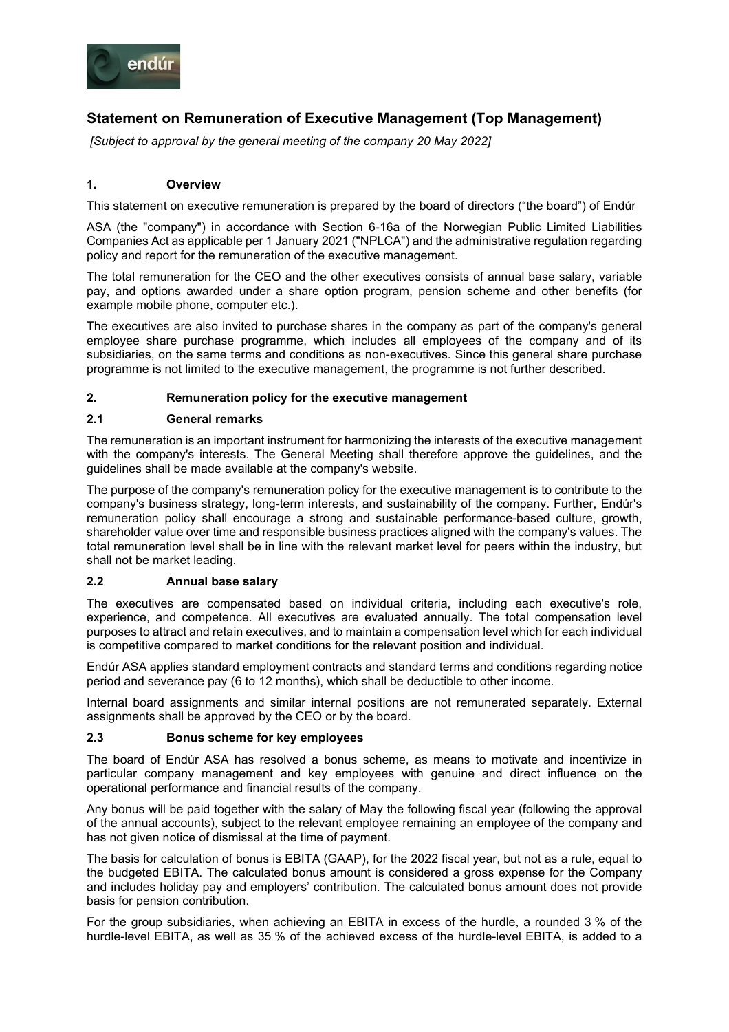

# **Statement on Remuneration of Executive Management (Top Management)**

*[Subject to approval by the general meeting of the company 20 May 2022]*

## **1. Overview**

This statement on executive remuneration is prepared by the board of directors ("the board") of Endúr

ASA (the "company") in accordance with Section 6-16a of the Norwegian Public Limited Liabilities Companies Act as applicable per 1 January 2021 ("NPLCA") and the administrative regulation regarding policy and report for the remuneration of the executive management.

The total remuneration for the CEO and the other executives consists of annual base salary, variable pay, and options awarded under a share option program, pension scheme and other benefits (for example mobile phone, computer etc.).

The executives are also invited to purchase shares in the company as part of the company's general employee share purchase programme, which includes all employees of the company and of its subsidiaries, on the same terms and conditions as non-executives. Since this general share purchase programme is not limited to the executive management, the programme is not further described.

## **2. Remuneration policy for the executive management**

#### **2.1 General remarks**

The remuneration is an important instrument for harmonizing the interests of the executive management with the company's interests. The General Meeting shall therefore approve the guidelines, and the guidelines shall be made available at the company's website.

The purpose of the company's remuneration policy for the executive management is to contribute to the company's business strategy, long-term interests, and sustainability of the company. Further, Endúr's remuneration policy shall encourage a strong and sustainable performance-based culture, growth, shareholder value over time and responsible business practices aligned with the company's values. The total remuneration level shall be in line with the relevant market level for peers within the industry, but shall not be market leading.

#### **2.2 Annual base salary**

The executives are compensated based on individual criteria, including each executive's role, experience, and competence. All executives are evaluated annually. The total compensation level purposes to attract and retain executives, and to maintain a compensation level which for each individual is competitive compared to market conditions for the relevant position and individual.

Endúr ASA applies standard employment contracts and standard terms and conditions regarding notice period and severance pay (6 to 12 months), which shall be deductible to other income.

Internal board assignments and similar internal positions are not remunerated separately. External assignments shall be approved by the CEO or by the board.

#### **2.3 Bonus scheme for key employees**

The board of Endúr ASA has resolved a bonus scheme, as means to motivate and incentivize in particular company management and key employees with genuine and direct influence on the operational performance and financial results of the company.

Any bonus will be paid together with the salary of May the following fiscal year (following the approval of the annual accounts), subject to the relevant employee remaining an employee of the company and has not given notice of dismissal at the time of payment.

The basis for calculation of bonus is EBITA (GAAP), for the 2022 fiscal year, but not as a rule, equal to the budgeted EBITA. The calculated bonus amount is considered a gross expense for the Company and includes holiday pay and employers' contribution. The calculated bonus amount does not provide basis for pension contribution.

For the group subsidiaries, when achieving an EBITA in excess of the hurdle, a rounded 3 % of the hurdle-level EBITA, as well as 35 % of the achieved excess of the hurdle-level EBITA, is added to a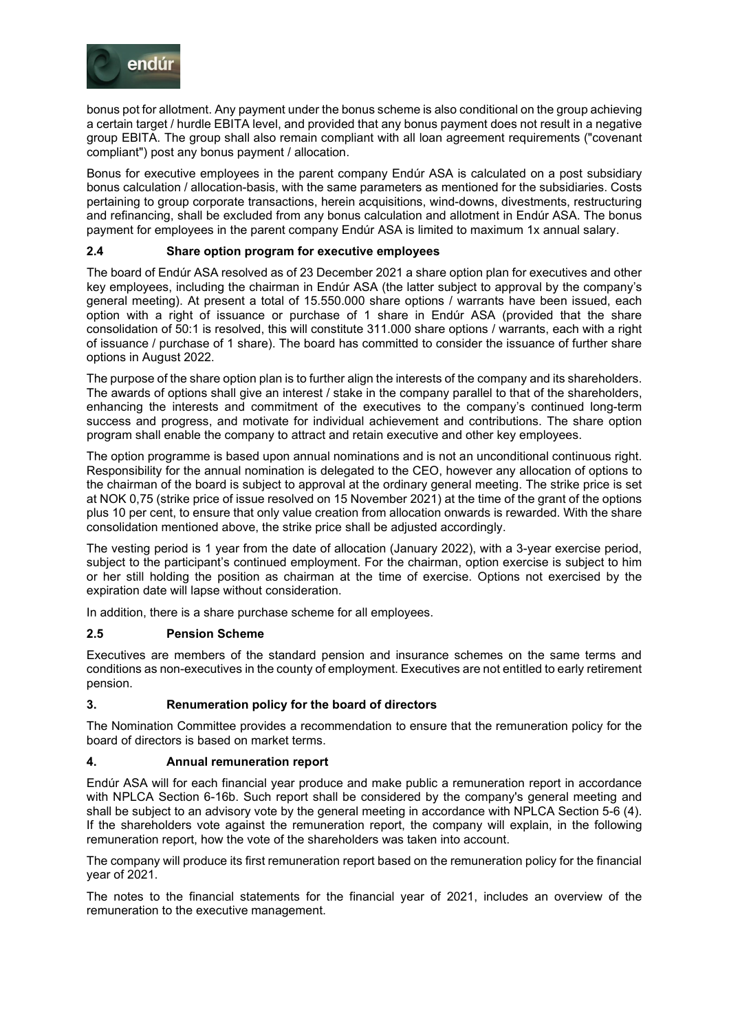

bonus pot for allotment. Any payment under the bonus scheme is also conditional on the group achieving a certain target / hurdle EBITA level, and provided that any bonus payment does not result in a negative group EBITA. The group shall also remain compliant with all loan agreement requirements ("covenant compliant") post any bonus payment / allocation.

Bonus for executive employees in the parent company Endúr ASA is calculated on a post subsidiary bonus calculation / allocation-basis, with the same parameters as mentioned for the subsidiaries. Costs pertaining to group corporate transactions, herein acquisitions, wind-downs, divestments, restructuring and refinancing, shall be excluded from any bonus calculation and allotment in Endúr ASA. The bonus payment for employees in the parent company Endúr ASA is limited to maximum 1x annual salary.

## **2.4 Share option program for executive employees**

The board of Endúr ASA resolved as of 23 December 2021 a share option plan for executives and other key employees, including the chairman in Endúr ASA (the latter subject to approval by the company's general meeting). At present a total of 15.550.000 share options / warrants have been issued, each option with a right of issuance or purchase of 1 share in Endúr ASA (provided that the share consolidation of 50:1 is resolved, this will constitute 311.000 share options / warrants, each with a right of issuance / purchase of 1 share). The board has committed to consider the issuance of further share options in August 2022.

The purpose of the share option plan is to further align the interests of the company and its shareholders. The awards of options shall give an interest / stake in the company parallel to that of the shareholders, enhancing the interests and commitment of the executives to the company's continued long-term success and progress, and motivate for individual achievement and contributions. The share option program shall enable the company to attract and retain executive and other key employees.

The option programme is based upon annual nominations and is not an unconditional continuous right. Responsibility for the annual nomination is delegated to the CEO, however any allocation of options to the chairman of the board is subject to approval at the ordinary general meeting. The strike price is set at NOK 0,75 (strike price of issue resolved on 15 November 2021) at the time of the grant of the options plus 10 per cent, to ensure that only value creation from allocation onwards is rewarded. With the share consolidation mentioned above, the strike price shall be adjusted accordingly.

The vesting period is 1 year from the date of allocation (January 2022), with a 3-year exercise period, subject to the participant's continued employment. For the chairman, option exercise is subject to him or her still holding the position as chairman at the time of exercise. Options not exercised by the expiration date will lapse without consideration.

In addition, there is a share purchase scheme for all employees.

# **2.5 Pension Scheme**

Executives are members of the standard pension and insurance schemes on the same terms and conditions as non-executives in the county of employment. Executives are not entitled to early retirement pension.

# **3. Renumeration policy for the board of directors**

The Nomination Committee provides a recommendation to ensure that the remuneration policy for the board of directors is based on market terms.

#### **4. Annual remuneration report**

Endúr ASA will for each financial year produce and make public a remuneration report in accordance with NPLCA Section 6-16b. Such report shall be considered by the company's general meeting and shall be subject to an advisory vote by the general meeting in accordance with NPLCA Section 5-6 (4). If the shareholders vote against the remuneration report, the company will explain, in the following remuneration report, how the vote of the shareholders was taken into account.

The company will produce its first remuneration report based on the remuneration policy for the financial year of 2021.

The notes to the financial statements for the financial year of 2021, includes an overview of the remuneration to the executive management.